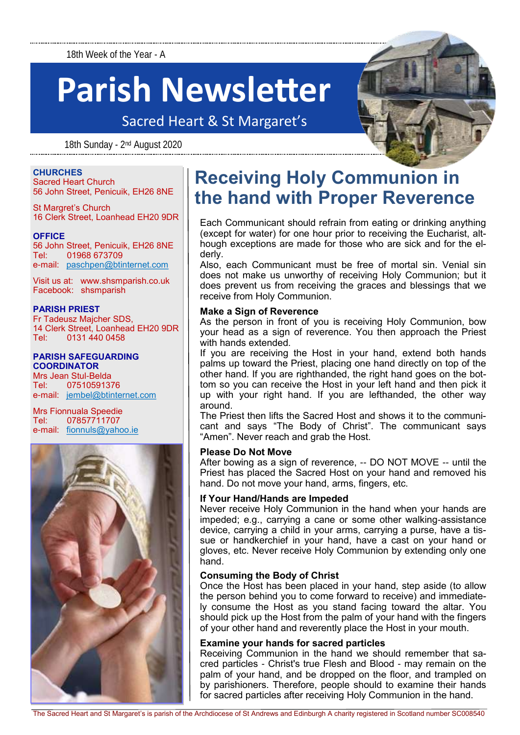18th Week of the Year - A

# **Parish Newsletter**

Sacred Heart & St Margaret's

18th Sunday - 2<sup>nd</sup> August 2020



#### **CHURCHES**

Sacred Heart Church 56 John Street, Penicuik, EH26 8NE

St Margret's Church 16 Clerk Street, Loanhead EH20 9DR

#### **OFFICE**

56 John Street, Penicuik, EH26 8NE Tel: 01968 673709 e-mail: [paschpen@btinternet.com](mailto:paschpen@btinternet.com)

Visit us at: www.shsmparish.co.uk Facebook: shsmparish

#### **PARISH PRIEST**

Fr Tadeusz Majcher SDS, 14 Clerk Street, Loanhead EH20 9DR Tel: 0131 440 0458

#### **PARISH SAFEGUARDING**

**COORDINATOR** Mrs Jean Stul-Belda Tel: 07510591376 e-mail: [jembel@btinternet.com](mailto:jembel@btinternet.com)

Mrs Fionnuala Speedie Tel: 07857711707 e-mail: [fionnuls@yahoo.ie](mailto:fionnuls@yahoo.ie)



### **Receiving Holy Communion in the hand with Proper Reverence**

Each Communicant should refrain from eating or drinking anything (except for water) for one hour prior to receiving the Eucharist, although exceptions are made for those who are sick and for the elderly.

Also, each Communicant must be free of mortal sin. Venial sin does not make us unworthy of receiving Holy Communion; but it does prevent us from receiving the graces and blessings that we receive from Holy Communion.

#### **Make a Sign of Reverence**

As the person in front of you is receiving Holy Communion, bow your head as a sign of reverence. You then approach the Priest with hands extended.

If you are receiving the Host in your hand, extend both hands palms up toward the Priest, placing one hand directly on top of the other hand. If you are righthanded, the right hand goes on the bottom so you can receive the Host in your left hand and then pick it up with your right hand. If you are lefthanded, the other way around.

The Priest then lifts the Sacred Host and shows it to the communicant and says "The Body of Christ". The communicant says "Amen". Never reach and grab the Host.

#### **Please Do Not Move**

After bowing as a sign of reverence, -- DO NOT MOVE -- until the Priest has placed the Sacred Host on your hand and removed his hand. Do not move your hand, arms, fingers, etc.

#### **If Your Hand/Hands are Impeded**

Never receive Holy Communion in the hand when your hands are impeded; e.g., carrying a cane or some other walking-assistance device, carrying a child in your arms, carrying a purse, have a tissue or handkerchief in your hand, have a cast on your hand or gloves, etc. Never receive Holy Communion by extending only one hand.

#### **Consuming the Body of Christ**

Once the Host has been placed in your hand, step aside (to allow the person behind you to come forward to receive) and immediately consume the Host as you stand facing toward the altar. You should pick up the Host from the palm of your hand with the fingers of your other hand and reverently place the Host in your mouth.

#### **Examine your hands for sacred particles**

Receiving Communion in the hand we should remember that sacred particles - Christ's true Flesh and Blood - may remain on the palm of your hand, and be dropped on the floor, and trampled on by parishioners. Therefore, people should to examine their hands for sacred particles after receiving Holy Communion in the hand.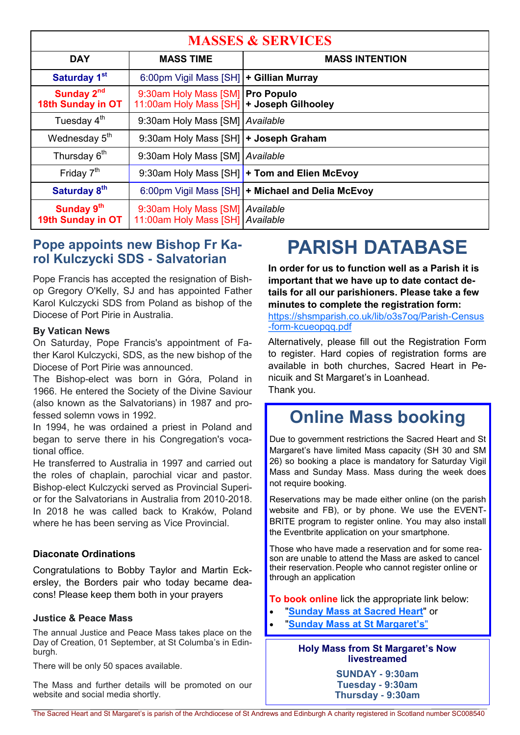| <b>MASSES &amp; SERVICES</b>                |                                                                               |                                                     |
|---------------------------------------------|-------------------------------------------------------------------------------|-----------------------------------------------------|
| <b>DAY</b>                                  | <b>MASS TIME</b>                                                              | <b>MASS INTENTION</b>                               |
| Saturday 1 <sup>st</sup>                    | 6:00pm Vigil Mass [SH]   + Gillian Murray                                     |                                                     |
| Sunday 2 <sup>nd</sup><br>18th Sunday in OT | 9:30am Holy Mass [SM] Pro Populo<br>11:00am Holy Mass [SH] + Joseph Gilhooley |                                                     |
| Tuesday 4 <sup>th</sup>                     | 9:30am Holy Mass [SM] Available                                               |                                                     |
| Wednesday 5 <sup>th</sup>                   | 9:30am Holy Mass [SH]   + Joseph Graham                                       |                                                     |
| Thursday 6 <sup>th</sup>                    | 9:30am Holy Mass [SM] Available                                               |                                                     |
| Friday $7th$                                |                                                                               | 9:30am Holy Mass [SH] + Tom and Elien McEvoy        |
| Saturday 8 <sup>th</sup>                    |                                                                               | 6:00pm Vigil Mass [SH]   + Michael and Delia McEvoy |
| Sunday 9th<br>19th Sunday in OT             | 9:30am Holy Mass [SM] Available<br>11:00am Holy Mass [SH] Available           |                                                     |

#### **Pope appoints new Bishop Fr Karol Kulczycki SDS - Salvatorian**

Pope Francis has accepted the resignation of Bishop Gregory O'Kelly, SJ and has appointed Father Karol Kulczycki SDS from Poland as bishop of the Diocese of Port Pirie in Australia.

#### **By Vatican News**

On Saturday, Pope Francis's appointment of Father Karol Kulczycki, SDS, as the new bishop of the Diocese of Port Pirie was announced.

The Bishop-elect was born in Góra, Poland in 1966. He entered the Society of the Divine Saviour (also known as the Salvatorians) in 1987 and professed solemn vows in 1992.

In 1994, he was ordained a priest in Poland and began to serve there in his Congregation's vocational office.

He transferred to Australia in 1997 and carried out the roles of chaplain, parochial vicar and pastor. Bishop-elect Kulczycki served as Provincial Superior for the Salvatorians in Australia from 2010-2018. In 2018 he was called back to Kraków, Poland where he has been serving as Vice Provincial.

#### **Diaconate Ordinations**

Congratulations to Bobby Taylor and Martin Eckersley, the Borders pair who today became deacons! Please keep them both in your prayers

#### **Justice & Peace Mass**

The annual Justice and Peace Mass takes place on the Day of Creation, 01 September, at St Columba's in Edinburgh.

There will be only 50 spaces available.

The Mass and further details will be promoted on our website and social media shortly.

### **PARISH DATABASE**

**In order for us to function well as a Parish it is important that we have up to date contact details for all our parishioners. Please take a few minutes to complete the registration form:** 

[https://shsmparish.co.uk/lib/o3s7oq/Parish-Census](https://shsmparish.co.uk/lib/o3s7oq/Parish-Census-form-kcueopqq.pdf) [-form-kcueopqq.pdf](https://shsmparish.co.uk/lib/o3s7oq/Parish-Census-form-kcueopqq.pdf)

Alternatively, please fill out the Registration Form to register. Hard copies of registration forms are available in both churches, Sacred Heart in Penicuik and St Margaret's in Loanhead. Thank you.

### **Online Mass booking**

Due to government restrictions the Sacred Heart and St Margaret's have limited Mass capacity (SH 30 and SM 26) so booking a place is mandatory for Saturday Vigil Mass and Sunday Mass. Mass during the week does not require booking.

Reservations may be made either online (on the parish website and FB), or by phone. We use the EVENT-BRITE program to register online. You may also install the Eventbrite application on your smartphone.

Those who have made a reservation and for some reason are unable to attend the Mass are asked to cancel their reservation.People who cannot register online or through an application

**To book online** lick the appropriate link below:

- "**[Sunday Mass at Sacred Heart](https://www.eventbrite.co.uk/e/sunday-mass-at-sacred-heart-registration-112295725538https:/www.eventbrite.co.uk/e/sunday-mass-at-sacred-heart-registration-112295725538)**" or
- "**[Sunday Mass at St Margaret's](https://www.eventbrite.com/e/sunday-mass-at-st-margarets-registration-112812298622?fbclid=IwAR2uYIkt2-ksDmIJ8hPxd2QZQpEsEEHD4nZy05S1_BBfnzAZUfSsP3rSB6w)**"

#### **Holy Mass from St Margaret's Now livestreamed**

**SUNDAY - 9:30am Tuesday - 9:30am Thursday - 9:30am**

The Sacred Heart and St Margaret's is parish of the Archdiocese of St Andrews and Edinburgh A charity registered in Scotland number SC008540